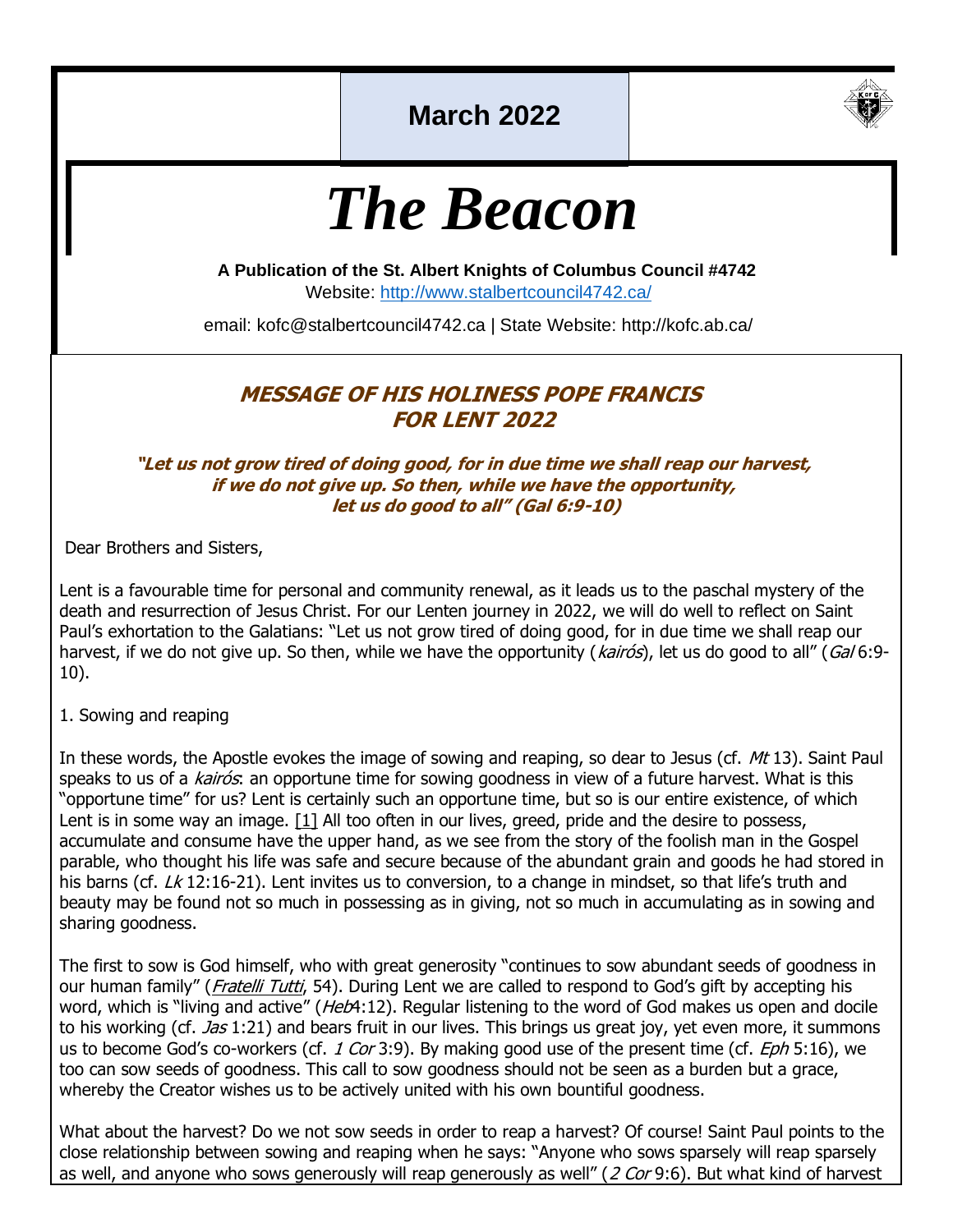# **March 2022**



# *The Beacon*

**A Publication of the St. Albert Knights of Columbus Council #4742**

Website:<http://www.stalbertcouncil4742.ca/>

email: kofc@stalbertcouncil4742.ca | State Website: http://kofc.ab.ca/

#### **MESSAGE OF HIS HOLINESS POPE FRANCIS FOR LENT 2022**

#### **"Let us not grow tired of doing good, for in due time we shall reap our harvest, if we do not give up. So then, while we have the opportunity, let us do good to all" (Gal 6:9-10)**

Dear Brothers and Sisters,

Lent is a favourable time for personal and community renewal, as it leads us to the paschal mystery of the death and resurrection of Jesus Christ. For our Lenten journey in 2022, we will do well to reflect on Saint Paul's exhortation to the Galatians: "Let us not grow tired of doing good, for in due time we shall reap our harvest, if we do not give up. So then, while we have the opportunity (kairós), let us do good to all" (Gal 6:9-10).

1. Sowing and reaping

In these words, the Apostle evokes the image of sowing and reaping, so dear to Jesus (cf. Mt 13). Saint Paul speaks to us of a kairós: an opportune time for sowing goodness in view of a future harvest. What is this "opportune time" for us? Lent is certainly such an opportune time, but so is our entire existence, of which Lent is in some way an image.  $[1]$  All too often in our lives, greed, pride and the desire to possess, accumulate and consume have the upper hand, as we see from the story of the foolish man in the Gospel parable, who thought his life was safe and secure because of the abundant grain and goods he had stored in his barns (cf.  $Lk$  12:16-21). Lent invites us to conversion, to a change in mindset, so that life's truth and beauty may be found not so much in possessing as in giving, not so much in accumulating as in sowing and sharing goodness.

The first to sow is God himself, who with great generosity "continues to sow abundant seeds of goodness in our human family" ([Fratelli Tutti](https://www.vatican.va/content/francesco/en/encyclicals/documents/papa-francesco_20201003_enciclica-fratelli-tutti.html), 54). During Lent we are called to respond to God's gift by accepting his word, which is "living and active" (Heb4:12). Regular listening to the word of God makes us open and docile to his working (cf. *Jas* 1:21) and bears fruit in our lives. This brings us great joy, yet even more, it summons us to become God's co-workers (cf. 1 Cor 3:9). By making good use of the present time (cf.  $Eph$  5:16), we too can sow seeds of goodness. This call to sow goodness should not be seen as a burden but a grace, whereby the Creator wishes us to be actively united with his own bountiful goodness.

What about the harvest? Do we not sow seeds in order to reap a harvest? Of course! Saint Paul points to the close relationship between sowing and reaping when he says: "Anyone who sows sparsely will reap sparsely as well, and anyone who sows generously will reap generously as well" (2 Cor 9:6). But what kind of harvest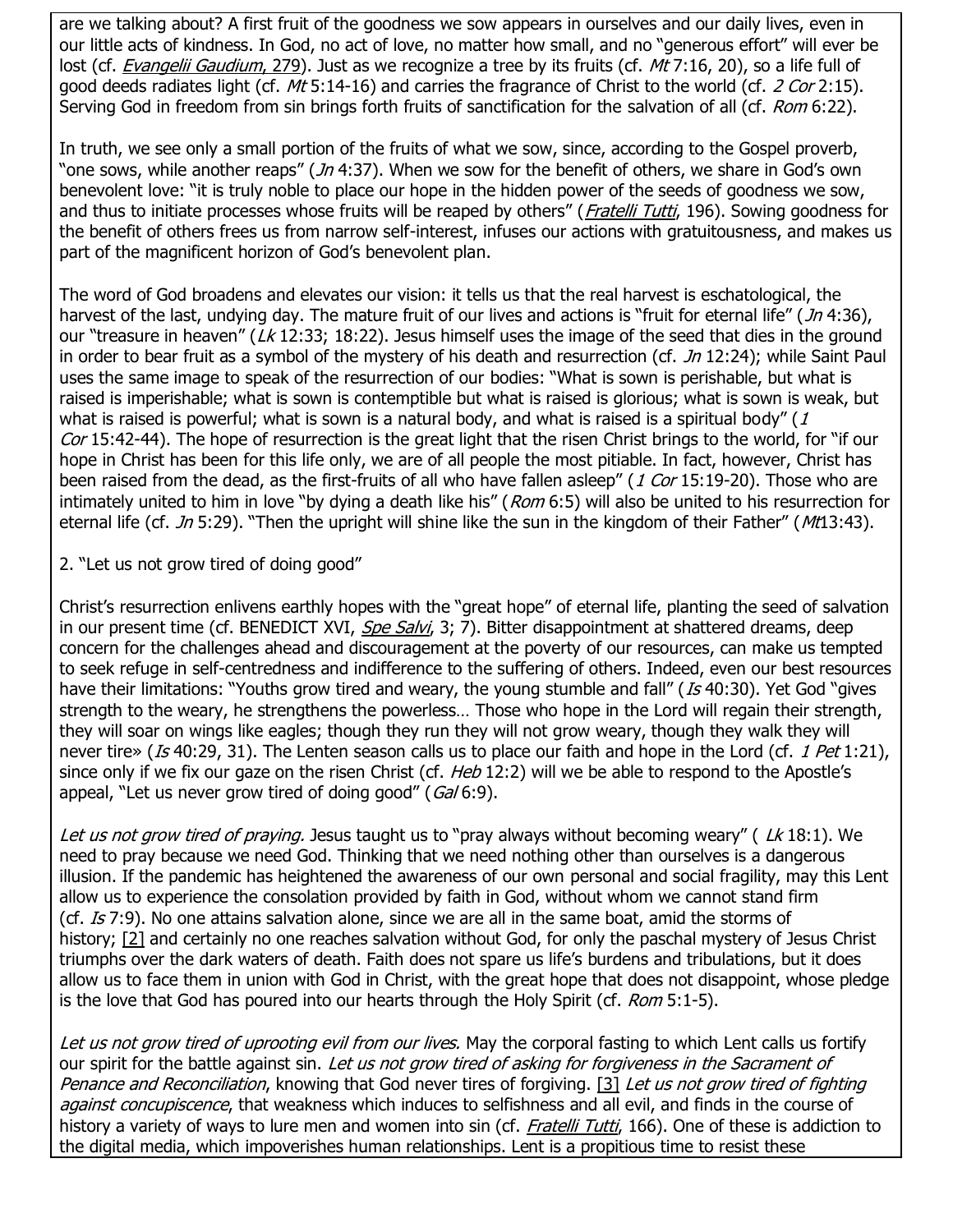are we talking about? A first fruit of the goodness we sow appears in ourselves and our daily lives, even in our little acts of kindness. In God, no act of love, no matter how small, and no "generous effort" will ever be lost (cf. *[Evangelii Gaudium](https://www.vatican.va/content/francesco/en/apost_exhortations/documents/papa-francesco_esortazione-ap_20131124_evangelii-gaudium.html#The_mysterious_working_of_the_risen_Christ_and_his_Spirit),* 279). Just as we recognize a tree by its fruits (cf. *Mt* 7:16, 20), so a life full of good deeds radiates light (cf. Mt 5:14-16) and carries the fragrance of Christ to the world (cf. 2 Cor 2:15). Serving God in freedom from sin brings forth fruits of sanctification for the salvation of all (cf. Rom 6:22).

In truth, we see only a small portion of the fruits of what we sow, since, according to the Gospel proverb, "one sows, while another reaps" (Jn 4:37). When we sow for the benefit of others, we share in God's own benevolent love: "it is truly noble to place our hope in the hidden power of the seeds of goodness we sow, and thus to initiate processes whose fruits will be reaped by others" ([Fratelli Tutti](https://www.vatican.va/content/francesco/en/encyclicals/documents/papa-francesco_20201003_enciclica-fratelli-tutti.html), 196). Sowing goodness for the benefit of others frees us from narrow self-interest, infuses our actions with gratuitousness, and makes us part of the magnificent horizon of God's benevolent plan.

The word of God broadens and elevates our vision: it tells us that the real harvest is eschatological, the harvest of the last, undying day. The mature fruit of our lives and actions is "fruit for eternal life" (*Jn* 4:36), our "treasure in heaven" (Lk 12:33; 18:22). Jesus himself uses the image of the seed that dies in the ground in order to bear fruit as a symbol of the mystery of his death and resurrection (cf.  $Jn$  12:24); while Saint Paul uses the same image to speak of the resurrection of our bodies: "What is sown is perishable, but what is raised is imperishable; what is sown is contemptible but what is raised is glorious; what is sown is weak, but what is raised is powerful; what is sown is a natural body, and what is raised is a spiritual body"  $(1)$ Cor 15:42-44). The hope of resurrection is the great light that the risen Christ brings to the world, for "if our hope in Christ has been for this life only, we are of all people the most pitiable. In fact, however, Christ has been raised from the dead, as the first-fruits of all who have fallen asleep" (1 Cor 15:19-20). Those who are intimately united to him in love "by dying a death like his" (Rom 6:5) will also be united to his resurrection for eternal life (cf. Jn 5:29). "Then the upright will shine like the sun in the kingdom of their Father" (Mt13:43).

2. "Let us not grow tired of doing good"

Christ's resurrection enlivens earthly hopes with the "great hope" of eternal life, planting the seed of salvation in our present time (cf. BENEDICT XVI, [Spe Salvi](https://www.vatican.va/content/benedict-xvi/en/encyclicals/documents/hf_ben-xvi_enc_20071130_spe-salvi.html), 3; 7). Bitter disappointment at shattered dreams, deep concern for the challenges ahead and discouragement at the poverty of our resources, can make us tempted to seek refuge in self-centredness and indifference to the suffering of others. Indeed, even our best resources have their limitations: "Youths grow tired and weary, the young stumble and fall" (Is 40:30). Yet God "gives strength to the weary, he strengthens the powerless… Those who hope in the Lord will regain their strength, they will soar on wings like eagles; though they run they will not grow weary, though they walk they will never tire» (Is 40:29, 31). The Lenten season calls us to place our faith and hope in the Lord (cf. 1 Pet 1:21), since only if we fix our gaze on the risen Christ (cf. *Heb* 12:2) will we be able to respond to the Apostle's appeal, "Let us never grow tired of doing good" (Gal 6:9).

Let us not grow tired of praying. Jesus taught us to "pray always without becoming weary" (Lk 18:1). We need to pray because we need God. Thinking that we need nothing other than ourselves is a dangerous illusion. If the pandemic has heightened the awareness of our own personal and social fragility, may this Lent allow us to experience the consolation provided by faith in God, without whom we cannot stand firm (cf. Is 7:9). No one attains salvation alone, since we are all in the same boat, amid the storms of history; [\[2\]](https://www.vatican.va/content/francesco/en/messages/lent/documents/20211111-messaggio-quaresima2022.html#_ftn2) and certainly no one reaches salvation without God, for only the paschal mystery of Jesus Christ triumphs over the dark waters of death. Faith does not spare us life's burdens and tribulations, but it does allow us to face them in union with God in Christ, with the great hope that does not disappoint, whose pledge is the love that God has poured into our hearts through the Holy Spirit (cf.  $Rom$  5:1-5).

Let us not grow tired of uprooting evil from our lives. May the corporal fasting to which Lent calls us fortify our spirit for the battle against sin. Let us not grow tired of asking for forgiveness in the Sacrament of Penance and Reconciliation, knowing that God never tires of forgiving. [\[3\]](https://www.vatican.va/content/francesco/en/messages/lent/documents/20211111-messaggio-quaresima2022.html#_ftn3) Let us not grow tired of fighting against concupiscence, that weakness which induces to selfishness and all evil, and finds in the course of history a variety of ways to lure men and women into sin (cf. *[Fratelli Tutti](https://www.vatican.va/content/francesco/en/encyclicals/documents/papa-francesco_20201003_enciclica-fratelli-tutti.html)*, 166). One of these is addiction to the digital media, which impoverishes human relationships. Lent is a propitious time to resist these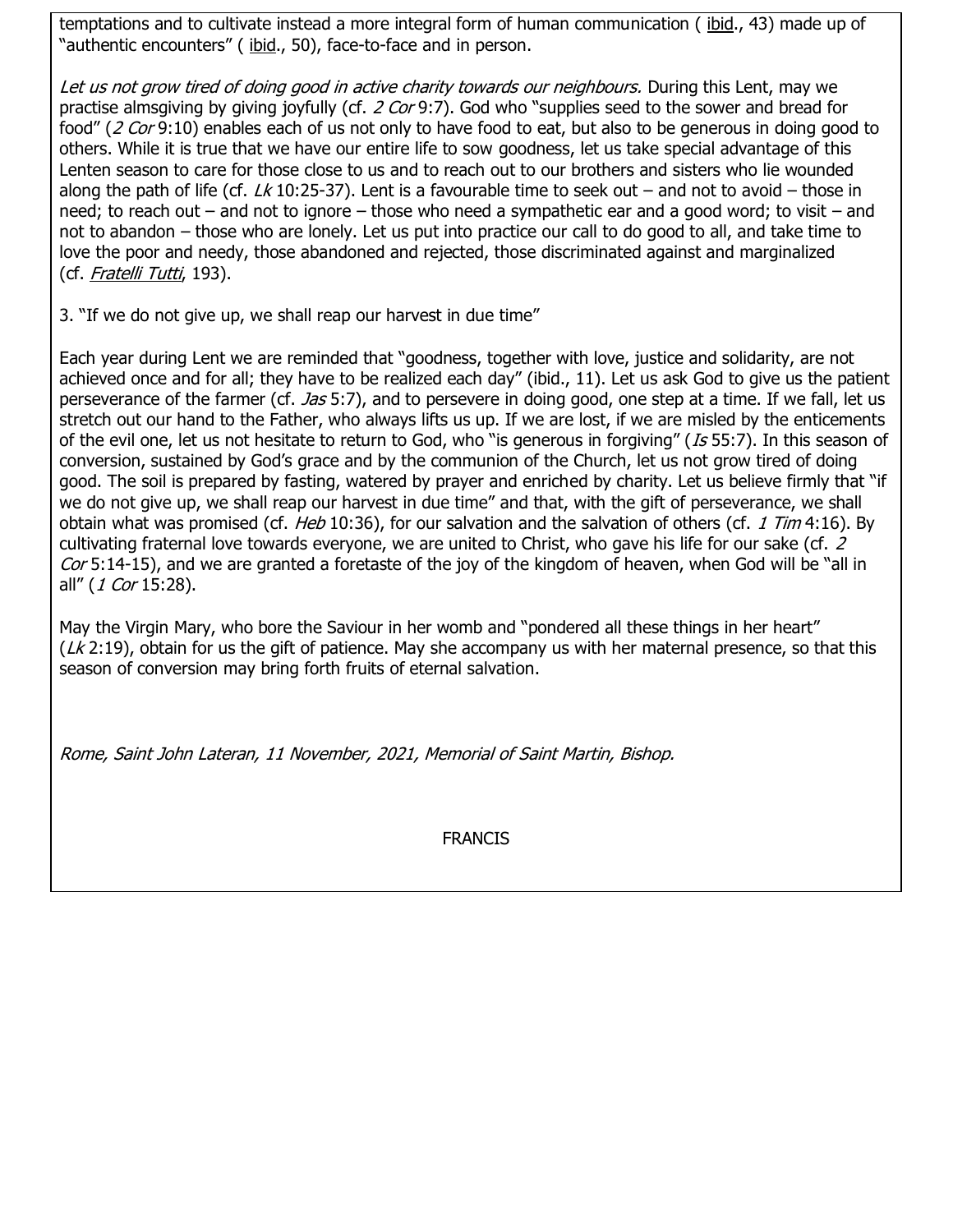temptations and to cultivate instead a more integral form of human communication ([ibid.](https://www.vatican.va/content/francesco/en/encyclicals/documents/papa-francesco_20201003_enciclica-fratelli-tutti.html), 43) made up of "authentic encounters" ( [ibid.](https://www.vatican.va/content/francesco/en/encyclicals/documents/papa-francesco_20201003_enciclica-fratelli-tutti.html), 50), face-to-face and in person.

Let us not grow tired of doing good in active charity towards our neighbours. During this Lent, may we practise almsgiving by giving joyfully (cf. 2 Cor 9:7). God who "supplies seed to the sower and bread for food" (2 Cor 9:10) enables each of us not only to have food to eat, but also to be generous in doing good to others. While it is true that we have our entire life to sow goodness, let us take special advantage of this Lenten season to care for those close to us and to reach out to our brothers and sisters who lie wounded along the path of life (cf.  $Lk$  10:25-37). Lent is a favourable time to seek out – and not to avoid – those in need; to reach out – and not to ignore – those who need a sympathetic ear and a good word; to visit – and not to abandon – those who are lonely. Let us put into practice our call to do good to all, and take time to love the poor and needy, those abandoned and rejected, those discriminated against and marginalized (cf. [Fratelli Tutti](https://www.vatican.va/content/francesco/en/encyclicals/documents/papa-francesco_20201003_enciclica-fratelli-tutti.html), 193).

3. "If we do not give up, we shall reap our harvest in due time"

Each year during Lent we are reminded that "goodness, together with love, justice and solidarity, are not achieved once and for all; they have to be realized each day" (ibid., 11). Let us ask God to give us the patient perseverance of the farmer (cf. *Jas* 5:7), and to persevere in doing good, one step at a time. If we fall, let us stretch out our hand to the Father, who always lifts us up. If we are lost, if we are misled by the enticements of the evil one, let us not hesitate to return to God, who "is generous in forgiving" (Is 55:7). In this season of conversion, sustained by God's grace and by the communion of the Church, let us not grow tired of doing good. The soil is prepared by fasting, watered by prayer and enriched by charity. Let us believe firmly that "if we do not give up, we shall reap our harvest in due time" and that, with the gift of perseverance, we shall obtain what was promised (cf. *Heb* 10:36), for our salvation and the salvation of others (cf. 1 Tim 4:16). By cultivating fraternal love towards everyone, we are united to Christ, who gave his life for our sake (cf. 2 Cor 5:14-15), and we are granted a foretaste of the joy of the kingdom of heaven, when God will be "all in all" (1 Cor 15:28).

May the Virgin Mary, who bore the Saviour in her womb and "pondered all these things in her heart"  $(Lk 2:19)$ , obtain for us the gift of patience. May she accompany us with her maternal presence, so that this season of conversion may bring forth fruits of eternal salvation.

Rome, Saint John Lateran, 11 November, 2021, Memorial of Saint Martin, Bishop.

FRANCIS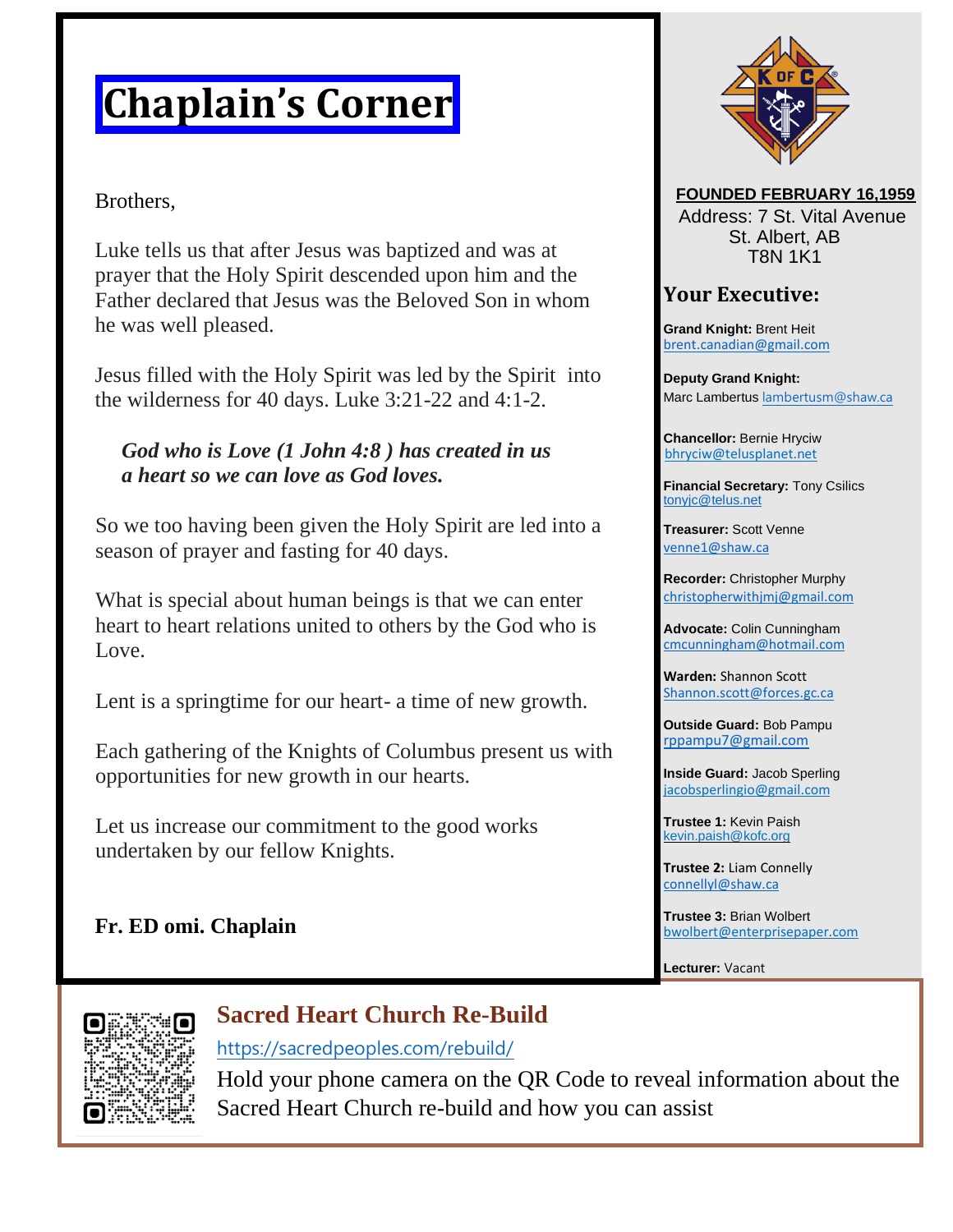# **Chaplain's Corner**

#### Brothers,

Luke tells us that after Jesus was baptized and was at prayer that the Holy Spirit descended upon him and the Father declared that Jesus was the Beloved Son in whom he was well pleased.

Jesus filled with the Holy Spirit was led by the Spirit into the wilderness for 40 days. Luke 3:21-22 and 4:1-2.

#### *God who is Love (1 John 4:8 ) has created in us a heart so we can love as God loves.*

So we too having been given the Holy Spirit are led into a season of prayer and fasting for 40 days.

What is special about human beings is that we can enter heart to heart relations united to others by the God who is Love.

Lent is a springtime for our heart- a time of new growth.

Each gathering of the Knights of Columbus present us with opportunities for new growth in our hearts.

Let us increase our commitment to the good works undertaken by our fellow Knights.

#### **FOUNDED FEBRUARY 16,1959**

Address: 7 St. Vital Avenue St. Albert, AB T8N 1K1

#### **Your Executive:**

**Grand Knight:** Brent Heit [brent.canadian@gmail.com](mailto:brent.canadian@gmail.com)

**Deputy Grand Knight:**  Marc Lambertus [lambertusm@shaw.ca](mailto:lambertusm@shaw.ca)

**Chancellor:** Bernie Hryciw bhryciw@telusplanet.net

**Financial Secretary:** Tony Csilics [tonyjc@telus.net](mailto:tonyjc@telus.net)

**Treasurer:** Scott Venne [venne1@shaw.ca](mailto:venne1@shaw.ca)

**Recorder:** Christopher Murphy [christopherwithjmj@gmail.com](mailto:christopherwithjmj@gmail.com)

**Advocate:** Colin Cunningham [cmcunningham@hotmail.com](mailto:cmcunningham@hotmail.com)

**Warden:** Shannon Scott [Shannon.scott@forces.gc.ca](mailto:Shannon.scott@forces.gc.ca)

**Outside Guard:** Bob Pampu [rppampu7@gmail.com](mailto:rppampu7@gmail.com)

**Inside Guard:** Jacob Sperling jacobsperlingio@gmail.com

**Trustee 1:** Kevin Paish kevin.paish@kofc.org

**Trustee 2:** Liam Connelly [connellyl@shaw.ca](mailto:connellyl@shaw.ca)

**Trustee 3:** Brian Wolbert bwolbert@enterprisepaper.com

**Lecturer:** Vacant





### **Sacred Heart Church Re-Build**

<https://sacredpeoples.com/rebuild/>

Hold your phone camera on the QR Code to reveal information about the Sacred Heart Church re-build and how you can assist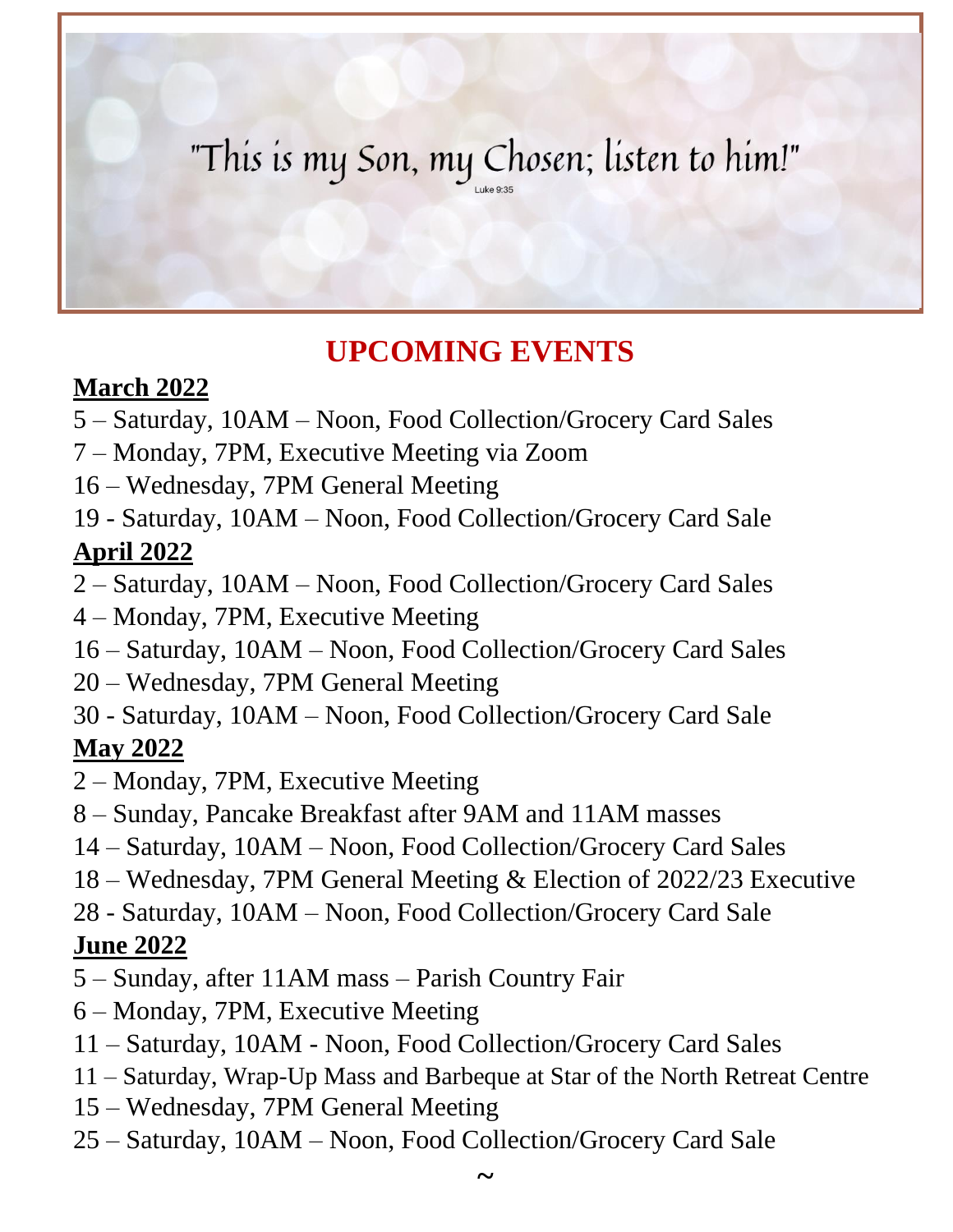# "This is my Son, my Chosen; listen to him!"

# **UPCOMING EVENTS**

### **March 2022**

- 5 Saturday, 10AM Noon, Food Collection/Grocery Card Sales
- 7 Monday, 7PM, Executive Meeting via Zoom
- 16 Wednesday, 7PM General Meeting
- 19 Saturday, 10AM Noon, Food Collection/Grocery Card Sale **April 2022**
- 2 Saturday, 10AM Noon, Food Collection/Grocery Card Sales
- 4 Monday, 7PM, Executive Meeting
- 16 Saturday, 10AM Noon, Food Collection/Grocery Card Sales
- 20 Wednesday, 7PM General Meeting
- 30 Saturday, 10AM Noon, Food Collection/Grocery Card Sale

## **May 2022**

- 2 Monday, 7PM, Executive Meeting
- 8 Sunday, Pancake Breakfast after 9AM and 11AM masses
- 14 Saturday, 10AM Noon, Food Collection/Grocery Card Sales
- 18 Wednesday, 7PM General Meeting & Election of 2022/23 Executive
- 28 Saturday, 10AM Noon, Food Collection/Grocery Card Sale

### **June 2022**

- 5 Sunday, after 11AM mass Parish Country Fair
- 6 Monday, 7PM, Executive Meeting
- 11 Saturday, 10AM Noon, Food Collection/Grocery Card Sales
- 11 Saturday, Wrap-Up Mass and Barbeque at Star of the North Retreat Centre
- 15 Wednesday, 7PM General Meeting
- 25 Saturday, 10AM Noon, Food Collection/Grocery Card Sale